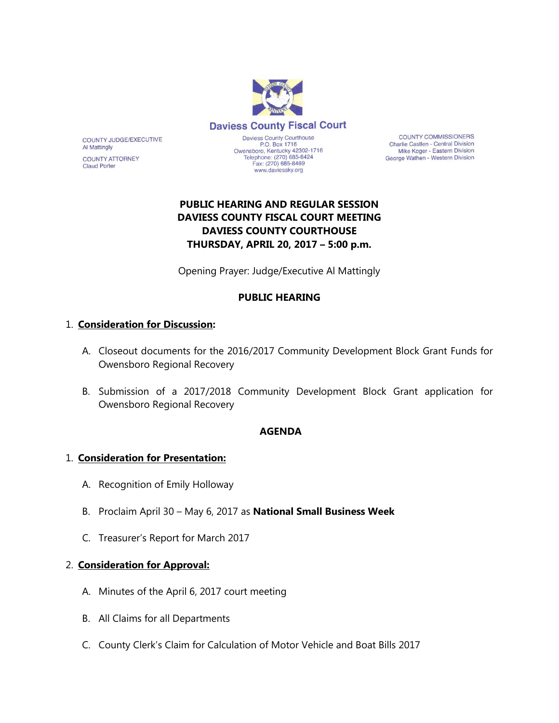

**COUNTY COMMISSIONERS** Charlie Castlen - Central Division Mike Koger - Eastern Division George Wathen - Western Division

# **PUBLIC HEARING AND REGULAR SESSION DAVIESS COUNTY FISCAL COURT MEETING DAVIESS COUNTY COURTHOUSE THURSDAY, APRIL 20, 2017 – 5:00 p.m.**

Opening Prayer: Judge/Executive Al Mattingly

## **PUBLIC HEARING**

### 1. **Consideration for Discussion:**

COUNTY JUDGE/EXECUTIVE

**COUNTY ATTORNEY** 

**Al Mattingly** 

**Claud Porter** 

- A. Closeout documents for the 2016/2017 Community Development Block Grant Funds for Owensboro Regional Recovery
- B. Submission of a 2017/2018 Community Development Block Grant application for Owensboro Regional Recovery

### **AGENDA**

### 1. **Consideration for Presentation:**

- A. Recognition of Emily Holloway
- B. Proclaim April 30 May 6, 2017 as **National Small Business Week**
- C. Treasurer's Report for March 2017

#### 2. **Consideration for Approval:**

- A. Minutes of the April 6, 2017 court meeting
- B. All Claims for all Departments
- C. County Clerk's Claim for Calculation of Motor Vehicle and Boat Bills 2017